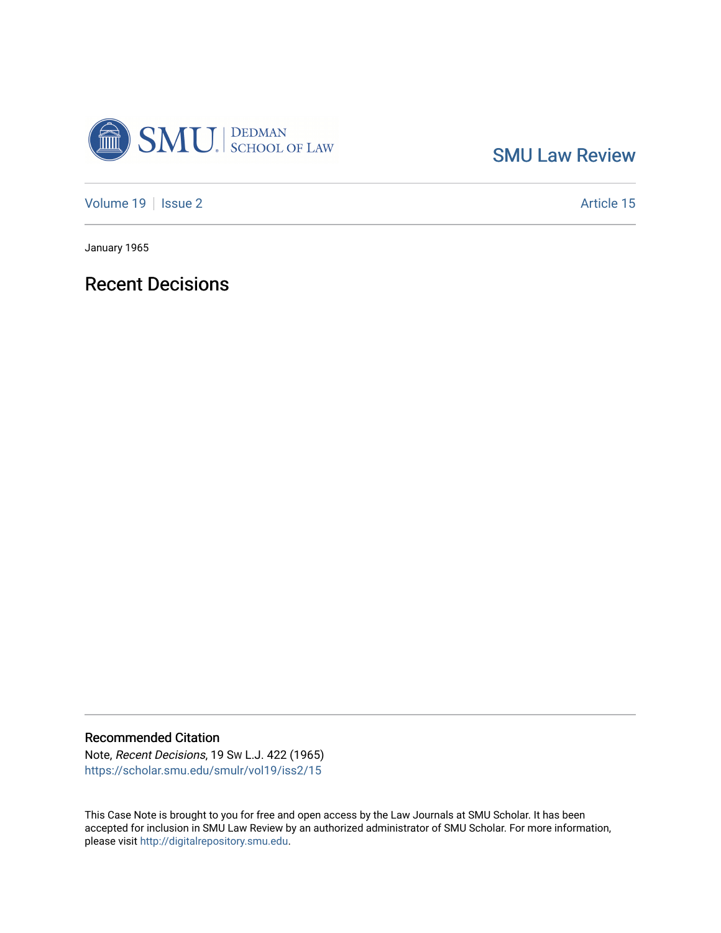

[SMU Law Review](https://scholar.smu.edu/smulr) 

[Volume 19](https://scholar.smu.edu/smulr/vol19) | [Issue 2](https://scholar.smu.edu/smulr/vol19/iss2) Article 15

January 1965

Recent Decisions

Recommended Citation

Note, Recent Decisions, 19 SW L.J. 422 (1965) [https://scholar.smu.edu/smulr/vol19/iss2/15](https://scholar.smu.edu/smulr/vol19/iss2/15?utm_source=scholar.smu.edu%2Fsmulr%2Fvol19%2Fiss2%2F15&utm_medium=PDF&utm_campaign=PDFCoverPages)

This Case Note is brought to you for free and open access by the Law Journals at SMU Scholar. It has been accepted for inclusion in SMU Law Review by an authorized administrator of SMU Scholar. For more information, please visit [http://digitalrepository.smu.edu.](http://digitalrepository.smu.edu/)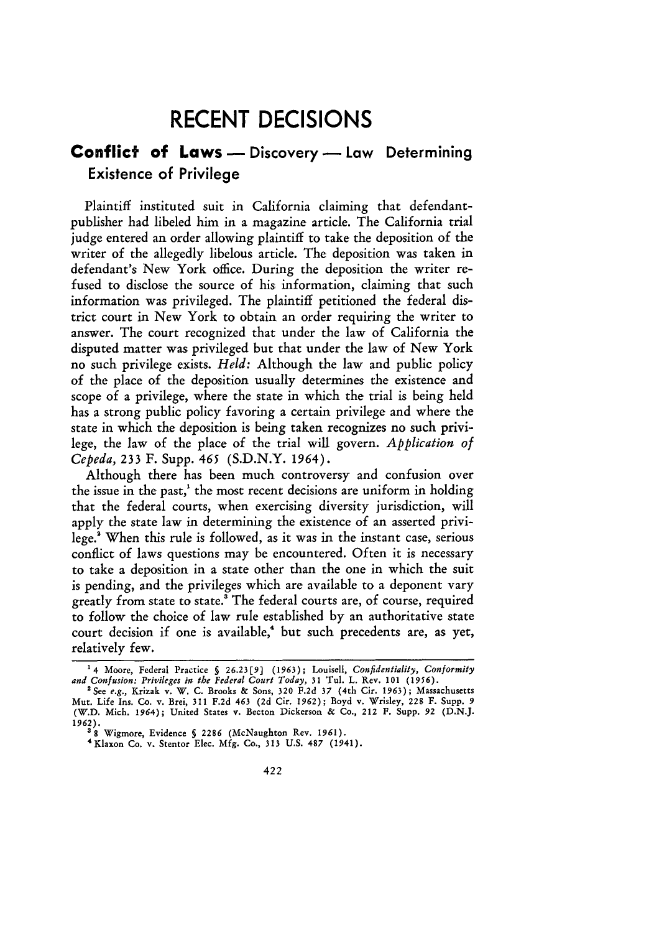# **RECENT DECISIONS**

# **Conflict of Laws** - Discovery - Law Determining Existence of Privilege

Plaintiff instituted suit in California claiming that defendantpublisher had libeled him in a magazine article. The California trial judge entered an order allowing plaintiff to take the deposition of the writer of the allegedly libelous article. The deposition was taken in defendant's New York office. During the deposition the writer refused to disclose the source of his information, claiming that such information was privileged. The plaintiff petitioned the federal district court in New York to obtain an order requiring the writer to answer. The court recognized that under the law of California the disputed matter was privileged but that under the law of New York no such privilege exists. *Held:* Although the law and public policy of the place of the deposition usually determines the existence and scope of a privilege, where the state in which the trial is being held has a strong public policy favoring a certain privilege and where the state in which the deposition is being taken recognizes no such privilege, the law of the place of the trial will govern. *Application of Cepeda,* 233 F. Supp. 465 (S.D.N.Y. 1964).

Although there has been much controversy and confusion over the issue in the past,' the most recent decisions are uniform in holding that the federal courts, when exercising diversity jurisdiction, will apply the state law in determining the existence of an asserted privilege.' When this rule is followed, as it was in the instant case, serious conflict of laws questions may be encountered. Often it is necessary to take a deposition in a state other than the one in which the suit is pending, and the privileges which are available to a deponent vary greatly from state to state.' The federal courts are, of course, required to follow the choice of law rule established by an authoritative state court decision if one is available,<sup>4</sup> but such precedents are, as yet, relatively few.

<sup>&</sup>lt;sup>1</sup>4 Moore, Federal Practice § 26.23[9] (1963); Louisell, *Confidentiality*, *Conformity*<br>and *Confusion: Privileges in the Federal Court Today*, 31 Tul. L. Rev. 101 (1956).<br><sup>2</sup> See *e.g.*, Krizak v. W. C. Brooks & Sons, 3

Mut. Life Ins. Co. v. Brei, **311 F.2d** 463 **(2d** Cir. **1962);** Boyd v. Wrisley, 228 **F.** Supp. **9** (W.D. Mich. 1964); United States v. Becton Dickerson **&** Co., 212 **F.** Supp. **92 (D.N.J. 1962). '8** Wigmore, Evidence **§ 2286** (McNaughton Rev. **1961). <sup>4</sup> Klaxon Co.** v. Stentor Elec. **Mfg. Co., 313 U.S. 487** (1941).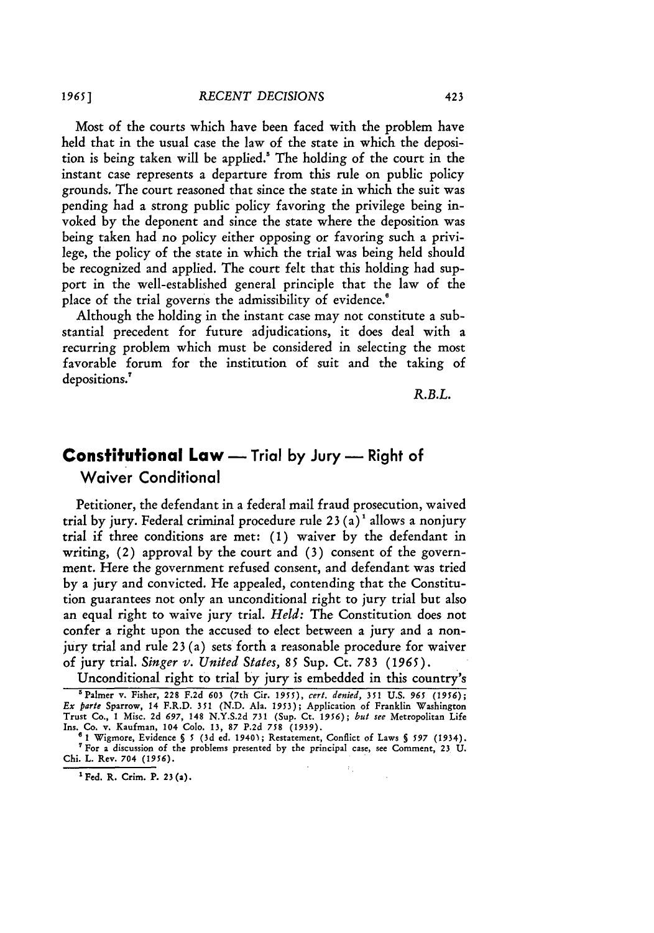Most of the courts which have been faced with the problem have held that in the usual case the law of the state in which the deposition is being taken will be applied.! The holding of the court in the instant case represents a departure from this rule on public policy grounds. The court reasoned that since the state in which the suit was pending had a strong public policy favoring the privilege being invoked by the deponent and since the state where the deposition was being taken had no policy either opposing or favoring such a **privi**lege, the policy of the state in which the trial was being held should be recognized and applied. The court felt that this holding had support in the well-established general principle that the law of the place of the trial governs the admissibility of evidence.<sup>6</sup>

Although the holding in the instant case may not constitute a substantial precedent for future adjudications, it does deal with a recurring problem which must be considered in selecting the most favorable forum for the institution of suit and the taking of depositions.'

*R.B.L.*

# **Constitutional Law -** Trial **by** Jury **-** Right of **Waiver Conditional**

Petitioner, the defendant in a federal mail fraud prosecution, waived trial **by** jury. Federal criminal procedure rule **23** (a) 1 allows a nonjury trial if three conditions are met: **(1)** waiver **by** the defendant in writing, (2) approval by the court and **(3)** consent of the government. Here the government refused consent, and defendant was tried **by** a jury and convicted. He appealed, contending that the Constitution guarantees not only an unconditional right to jury trial but also an equal right to waive jury trial. *Held:* The Constitution does not confer a right upon the accused to elect between a jury and a nonjury trial and rule **23** (a) sets forth a reasonable procedure for waiver **of** jury trial. *Singer v. United States, 85* Sup. Ct. **783** *(1965).*

Unconditional right to trial by jury is embedded in this country's

**'Fed. R. Crim. P. 23 (a).**

**<sup>&#</sup>x27;Palmer v. Fisher, 228 F.2d 603 (7th Cir.** *1955), cert. denied,* **351 U.S.** *965 (1956);* Ex parte Sparrow, 14 F.R.D. 351 (N.D. Ala. 1953); Application of Franklin Washington<br>Trust Co., 1 Misc. 2d 697, 148 N.Y.S.2d 731 (Sup. Ct. 1956); but see Metropolitan Life Ins. **Co.** v. Kaufman, **104 Colo. 13, 87 P.2d 758 (1939).**

**s 1 Wigmore,** Evidence **§** *5* **(3d ed. 1940);** Restatement, Conflict **of Laws §** *597* **(1934). "For a** discussion **of the** problems presented **by** the **principal case,** see Comment, **23 U. Chi. L.** Rev. **704** *(1956).*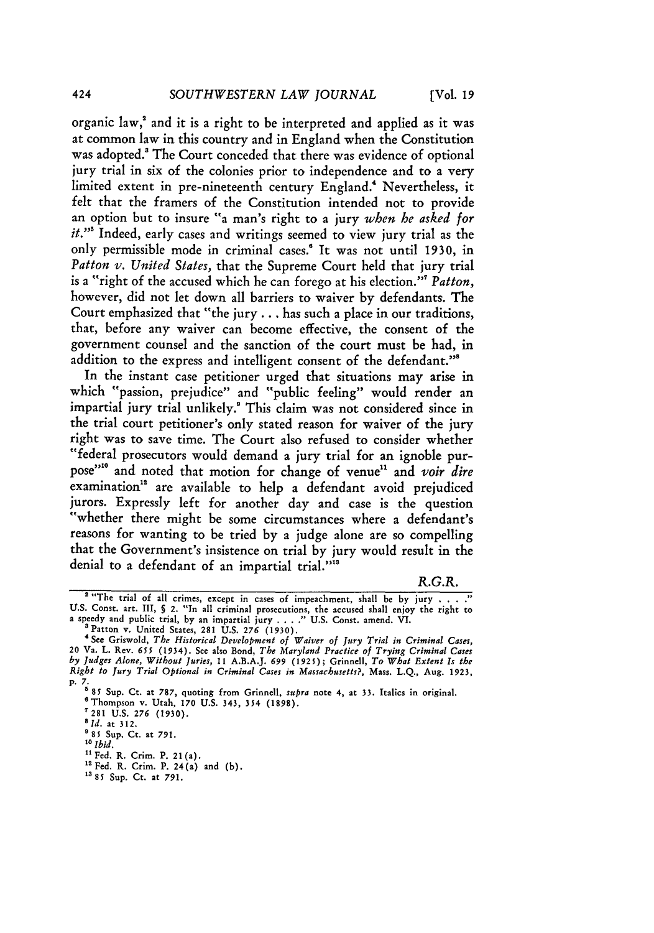organic law,' and it is a right to be interpreted and applied as it was at common law in this country and in England when the Constitution was adopted.<sup>3</sup> The Court conceded that there was evidence of optional jury trial in six of the colonies prior to independence and to a very limited extent in pre-nineteenth century England." Nevertheless, it felt that the framers of the Constitution intended not to provide an option but to insure "a man's right to a jury *when he asked for*

*it."<sup>5</sup>*Indeed, early cases and writings seemed to view jury trial as the only permissible mode in criminal cases.' It was not until **1930,** in *Patton v. United States,* that the Supreme Court held that jury trial is a "right of the accused which he can forego at his election."' *Patton,* however, did not let down all barriers to waiver by defendants. The Court emphasized that "the jury... has such a place in our traditions, that, before any waiver can become effective, the consent of the government counsel and the sanction of the court must be had, in addition to the express and intelligent consent of the defendant."<sup>8</sup>

In the instant case petitioner urged that situations may arise in which "passion, prejudice" and "public feeling" would render an impartial jury trial unlikely.' This claim was not considered since in the trial court petitioner's only stated reason for waiver of the jury right was to save time. The Court also refused to consider whether "federal prosecutors would demand a jury trial for an ignoble purpose"<sup>10</sup> and noted that motion for change of venue<sup>11</sup> and *voir dire* examination" are available to help a defendant avoid prejudiced jurors. Expressly left for another day and case is the question "whether there might be some circumstances where a defendant's reasons for wanting to be tried by a judge alone are so compelling that the Government's insistence on trial by jury would result in the denial to a defendant of an impartial trial."<sup>13</sup>

#### R.G.R.

**13 85** Sup. Ct. at **791.**

<sup>&</sup>lt;sup>2</sup> "The trial of all crimes, except in cases of impeachment, shall be by jury . . . ."<br>U.S. Const. art. III, § 2. "In all criminal prosecutions, the accused shall enjoy the right to<br>a speedy and public trial, by an impar

**<sup>&</sup>quot;** See Griswold, *The Historical Development of Waiver of Jury Trial* in *Criminal Cases,* 20 Va. L. Rev. *655* (1934). See also Bond, *The Maryland Practice of Trying Criminal Cases* by Judges Alone, Without Juries, 11 A.B.A.J. 699 (1925); Grinnell, To What Extent Is the<br>Right to Jury Trial Optional in Criminal Cases in Massachusetts?, Mass. L.Q., Aug. 1923,

p. 7. **5** 85 Sup. Ct. at 787, quoting from Grinnell, *supra* note 4, at **33.** Italics in original. 'Thompson v. Utah, **170** U.S. 343, 354 (1898).

**<sup>7281</sup> U.S. 276 (1930).**

*<sup>&#</sup>x27;Id.* at 312.

**<sup>&#</sup>x27;85** Sup. Ct. at 791.

**o** *Ibid.*

<sup>&</sup>lt;sup>11</sup> Fed. R. Crim. P. 21(a).

 $12$  Fed. R. Crim. P. 24(a) and (b).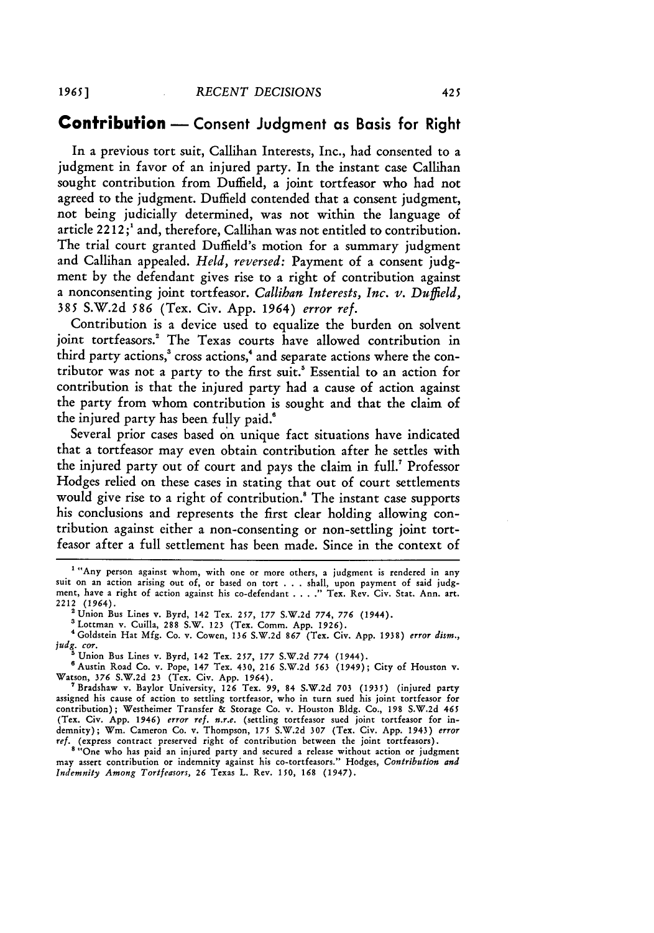#### **Contribution -** Consent Judgment as Basis for Right

In a previous tort suit, Callihan Interests, Inc., had consented to a judgment in favor of an injured party. In the instant case Callihan sought contribution from Duffield, a joint tortfeasor who had not agreed to the judgment. Duffield contended that a consent judgment, not being judicially determined, was not within the language of article 2212;' and, therefore, Callihan was not entitled to contribution. The trial court granted Duffield's motion for a summary judgment and Callihan appealed. *Held, reversed:* Payment of a consent **judg**ment **by** the defendant gives rise to a right of contribution against a nonconsenting joint tortfeasor. *Callihan Interests, Inc. v. Duffield,* 385 S.W.2d *586* (Tex. Civ. App. 1964) *error ref.*

Contribution is a device used to equalize the burden on solvent joint tortfeasors.' The Texas courts have allowed contribution in third party actions,<sup>3</sup> cross actions,<sup>4</sup> and separate actions where the contributor was not a party to the first suit.' Essential to an action for contribution is that the injured party had a cause of action against the party from whom contribution is sought and that the claim of the injured party has been fully paid.'

Several prior cases based on unique fact situations have indicated that a tortfeasor may even obtain contribution after he settles with the injured party out of court and pays the claim in full.7 Professor Hodges relied on these cases in stating that out of court settlements would give rise to a right of contribution.<sup>8</sup> The instant case supports his conclusions and represents the first clear holding allowing contribution against either a non-consenting or non-settling joint tortfeasor after a full settlement has been made. Since in the context of

'Lottman v. Cuilla, 288 S.W. 123 (Tex. Comm. App. 1926).

**'** Goldstein Hat Mfg. Co. v. Cowen, *136* S.W.2d *867* (Tex. Civ. App. 1938) error *dism., judg. cor.*

<sup>5</sup> Union Bus Lines v. Byrd, 142 Tex. 257, 177 S.W.2d 774 (1944)

'Austin Road Co. v. Pope, 147 Tex. 430, 216 S.W.2d *563* (1949); City of Houston v. Watson, **376** S.W.2d **23** (Tex. Civ. App. 1964).

'Bradshaw v. Baylor University, 126 Tex. 99, 84 S.W.2d **703** (1935) (injured party assigned his cause of action to settling tortfeasor, who in turn sued his joint tortfeasor for contribution); Westheimer Transfer **&** Storage Co. v. Houston **Bldg.** Co., 198 S.W.2d 465 (Tex. Civ. App. 1946) *error ref. n.r.e.* (settling tortfeasor sued joint tortfeasor for indemnity); **Wm.** Cameron Co. v. Thompson, *175* S.W.2d 307 (Tex. Civ. App. 1943) *error* **ref.** (express contract preserved right of contribution between the joint tortfeasors).

<sup>8</sup> "One who has paid an injured party and secured a release without action or judgment may assert contribution or indemnity against his co-tortfeasors." Hodges, *Contribution and Indemnity Among Tortfeasors, 26* Texas L. Rev. 150, *168* (1947).

**<sup>1</sup>** "Any person against whom, with one or more others, a judgment is rendered in any suit on an action arising out of, or based on tort . . . shall, upon payment of said **judg**ment, have a right of action against his co-defendant. **...** Tex. Rev. Civ. Stat. Ann. art. 2212 (1964).

<sup>&#</sup>x27;Union Bus Lines v. Byrd, 142 Tex. 257, 177 S.W.2d 774, *776* (1944).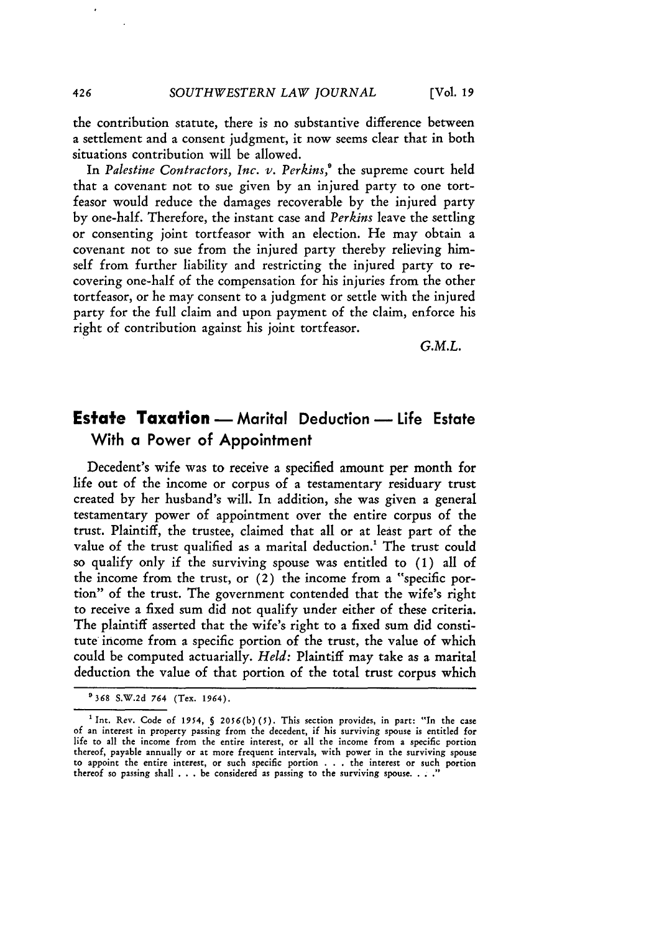the contribution statute, there is no substantive difference between a settlement and a consent judgment, it now seems clear that in both situations contribution will be allowed.

In *Palestine Contractors, Inc. v. Perkins,'* the supreme court held that a covenant not to sue given by an injured party to one tortfeasor would reduce the damages recoverable by the injured party by one-half. Therefore, the instant case and *Perkins* leave the settling or consenting joint tortfeasor with an election. He may obtain a covenant not to sue from the injured party thereby relieving himself from further liability and restricting the injured party to recovering one-half of the compensation for his injuries from the other tortfeasor, or he may consent to a judgment or settle with the injured party for the full claim and upon payment of the claim, enforce his right of contribution against his joint tortfeasor.

*G.M.L.*

# **Estate Taxation** - Marital Deduction - Life Estate With a Power of Appointment

Decedent's wife was to receive a specified amount per month for life out of the income or corpus of a testamentary residuary trust created by her husband's will. In addition, she was given a general testamentary power of appointment over the entire corpus of the trust. Plaintiff, the trustee, claimed that all or at least part of the value of the trust qualified as a marital deduction.<sup>1</sup> The trust could so qualify only if the surviving spouse was entitled to **(1)** all of the income from the trust, or (2) the income from a "specific portion" of the trust. The government contended that the wife's right to receive a fixed sum did not qualify under either of these criteria. The plaintiff asserted that the wife's right to a fixed sum did constitute income from a specific portion of the trust, the value of which could be computed actuarially. *Held:* Plaintiff may take as a marital deduction the value of that portion of the total trust corpus which

<sup>&</sup>quot;368 S.W.2d 764 (Tex. 1964).

<sup>&</sup>lt;sup>1</sup> Int. Rev. Code of 1954, § 2056(b)(5). This section provides, in part: "In the case of an interest in property passing from the decedent, if his surviving spouse is entitled for life to all the income from the entire interest, or all the income from a specific portion thereof, payable annually or at more frequent intervals, with power in the surviving spouse to appoint the entire interest, or such specific portion . . . the interest or such portion thereof so passing shall . . . be considered as passing to the surviving spouse. **...** "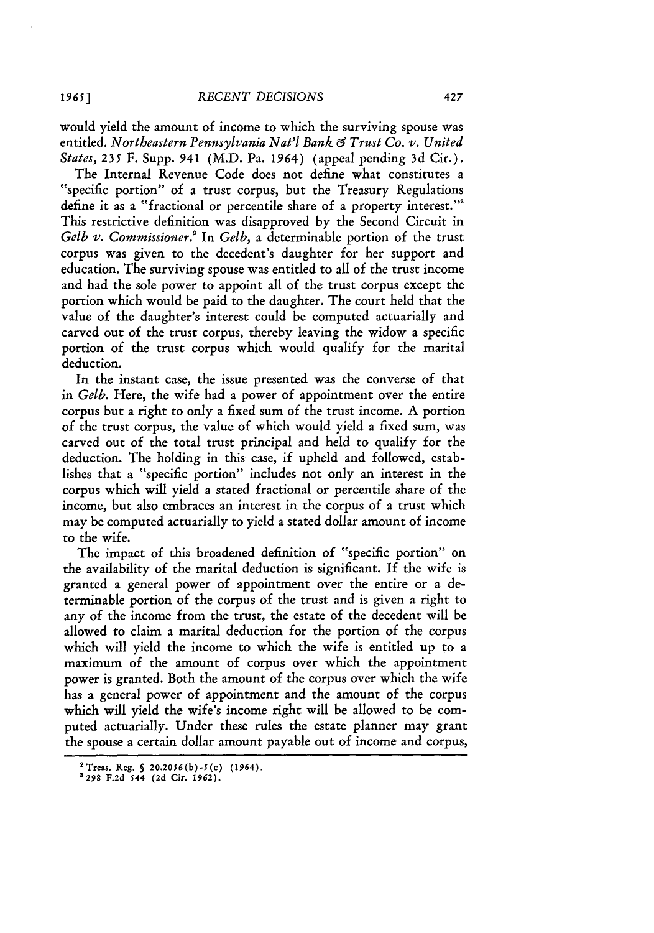would yield the amount of income to which the surviving spouse was entitled. *Northeastern Pennsylvania Nat'l Bank C9 Trust Co. v. United States,* 235 F. Supp. **941** (M.D. Pa. 1964) (appeal pending 3d Cir.).

The Internal Revenue Code does not define what constitutes a "specific portion" of a trust corpus, but the Treasury Regulations define it as a "fractional or percentile share of a property interest."<sup>2</sup> This restrictive definition was disapproved by the Second Circuit in *Gelb v. Commissioner.'* In *Gelb,* a determinable portion of the trust corpus was given to the decedent's daughter for her support and education. The surviving spouse was entitled to all of the trust income and had the sole power to appoint all of the trust corpus except the portion which would be paid to the daughter. The court held that the value of the daughter's interest could be computed actuarially and carved out of the trust corpus, thereby leaving the widow a specific portion of the trust corpus which would qualify for the marital deduction.

In the instant case, the issue presented was the converse of that *in Gelb.* Here, the wife had a power of appointment over the entire corpus but a right to only a fixed sum of the trust income. A portion of the trust corpus, the value of which would yield a fixed sum, was carved out of the total trust principal and held to qualify for the deduction. The holding in this case, if upheld and followed, establishes that a "specific portion" includes not only an interest in the corpus which will yield a stated fractional or percentile share of the income, but also embraces an interest in the corpus of a trust which may be computed actuarially to yield a stated dollar amount of income to the wife.

The impact of this broadened definition of "specific portion" on the availability of the marital deduction is significant. If the wife is granted a general power of appointment over the entire or a determinable portion of the corpus of the trust and is given a right to any of the income from the trust, the estate of the decedent will be allowed to claim a marital deduction for the portion of the corpus which will yield the income to which the wife is entitled up to a maximum of the amount of corpus over which the appointment power is granted. Both the amount of the corpus over which the wife has a general power of appointment and the amount of the corpus which will yield the wife's income right will be allowed to be computed actuarially. Under these rules the estate planner may grant the spouse a certain dollar amount payable out of income and corpus,

**<sup>2</sup>Treas.** Reg. **§ 20.2056(b)-5(c) (1964). 3298 F.2d 544 (2d** Cir. **1962).**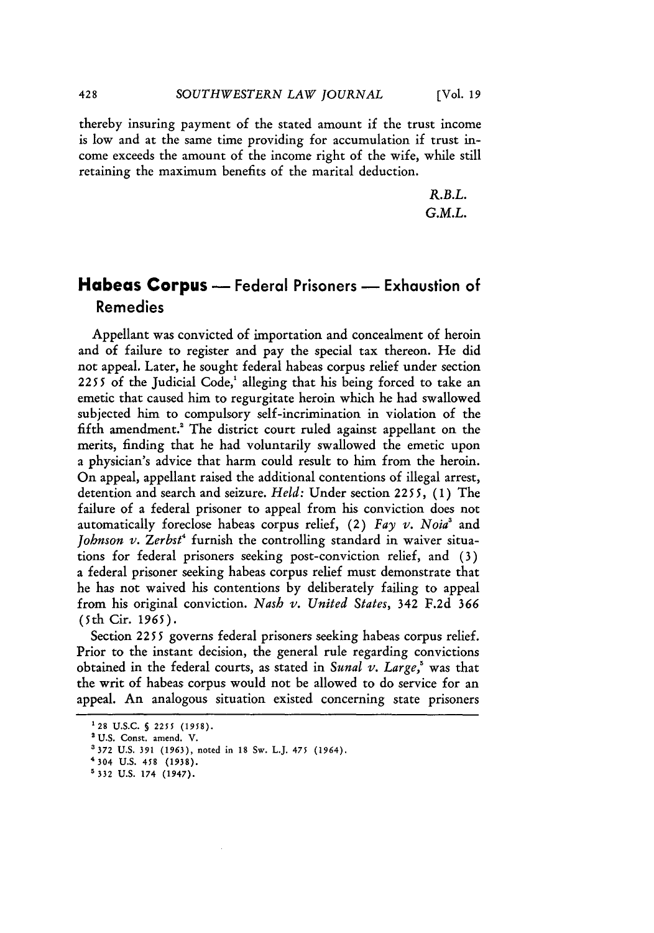thereby insuring payment of the stated amount if the trust income is low and at the same time providing for accumulation if trust income exceeds the amount of the income right of the wife, while still retaining the maximum benefits of the marital deduction.

> *R.B.L. G.M.L.*

### **Habeas Corpus -** Federal Prisoners **-** Exhaustion of Remedies

Appellant was convicted of importation and concealment of heroin and of failure to register and pay the special tax thereon. He did not appeal. Later, he sought federal habeas corpus relief under section  $2255$  of the Judicial Code,<sup>1</sup> alleging that his being forced to take an emetic that caused him to regurgitate heroin which he had swallowed subjected him to compulsory self-incrimination in violation of the fifth amendment.' The district court ruled against appellant on the merits, finding that he had voluntarily swallowed the emetic upon a physician's advice that harm could result to him from the heroin. On appeal, appellant raised the additional contentions of illegal arrest, detention and search and seizure. *Held:* Under section *2255,* **(1)** The failure of a federal prisoner to appeal from his conviction does not automatically foreclose habeas corpus relief, (2) *Fay v. Noia3* and *Johnson v. Zerbst<sup>4</sup>* furnish the controlling standard in waiver situations for federal prisoners seeking post-conviction relief, and (3) a federal prisoner seeking habeas corpus relief must demonstrate that he has not waived his contentions by deliberately failing to appeal from his original conviction. *Nash v. United States,* 342 F.2d *366 (5th* Cir. 1965).

Section 2255 governs federal prisoners seeking habeas corpus relief. Prior to the instant decision, the general rule regarding convictions obtained in the federal courts, as stated in *Sunal v. Large,'* was that the writ of habeas corpus would not be allowed to do service for an appeal. An analogous situation existed concerning state prisoners

**<sup>&#</sup>x27;28 U.S.C. §** 2255 **(1958).**

<sup>&#</sup>x27;U.S. Const. amend. V.

<sup>3372</sup> U.S. **391** (1963), noted in 18 Sw. L.J. 475 (1964).

<sup>4304</sup> **U.S.** 458 **(1938).**

**<sup>5 332</sup> U.S.** 174 (1947).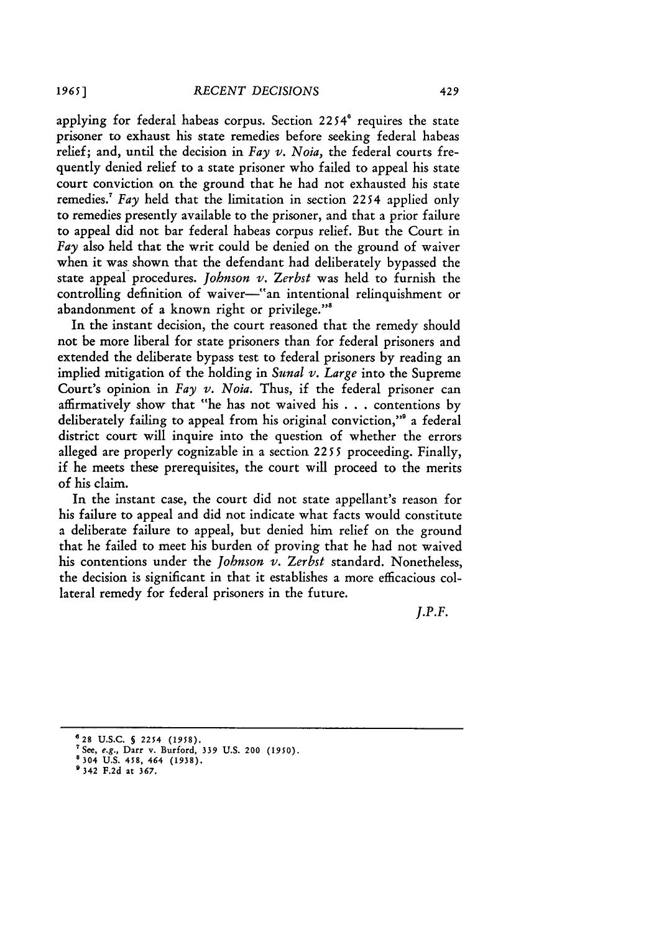applying for federal habeas corpus. Section  $2254^\circ$  requires the state prisoner to exhaust his state remedies before seeking federal habeas relief; and, until the decision in *Fay v. Noia,* the federal courts frequently denied relief to a state prisoner who failed to appeal his state court conviction on the ground that he had not exhausted his state remedies.<sup>7</sup>*Fay* held that the limitation in section 2254 applied only to remedies presently available to the prisoner, and that a prior failure to appeal did not bar federal habeas corpus relief. But the Court in *Fay* also held that the writ could be denied on the ground of waiver when it was shown that the defendant had deliberately bypassed the state appeal procedures. *Johnson v.* Zerbst was held to furnish the controlling definition of waiver-"an intentional relinquishment or abandonment of a known right or privilege."8

In the instant decision, the court reasoned that the remedy should not be more liberal for state prisoners than for federal prisoners and extended the deliberate bypass test to federal prisoners by reading an implied mitigation of the holding in *Sunal v. Large* into the Supreme Court's opinion in *Fay v. Noia*. Thus, if the federal prisoner can affirmatively show that "he has not waived his .. .contentions by deliberately failing to appeal from his original conviction,"' a federal district court will inquire into the question of whether the errors alleged are properly cognizable in a section 2255 proceeding. Finally, if he meets these prerequisites, the court will proceed to the merits of his claim.

In the instant case, the court did not state appellant's reason for his failure to appeal and did not indicate what facts would constitute a deliberate failure to appeal, but denied him relief on the ground that he failed to meet his burden of proving that he had not waived his contentions under the *Johnson v. Zerbst* standard. Nonetheless, the decision is significant in that it establishes a more efficacious collateral remedy for federal prisoners in the future.

*J.P.F.*

**e28 U.S.C. § 2254 (1958).**

**<sup>&#</sup>x27;See,** e.g., **Darr v. Burford, 339 U.S.** 200 **(1950). 8304 U.S. 458, 464 (1938).**

**<sup>9342</sup> F.2d at 367.**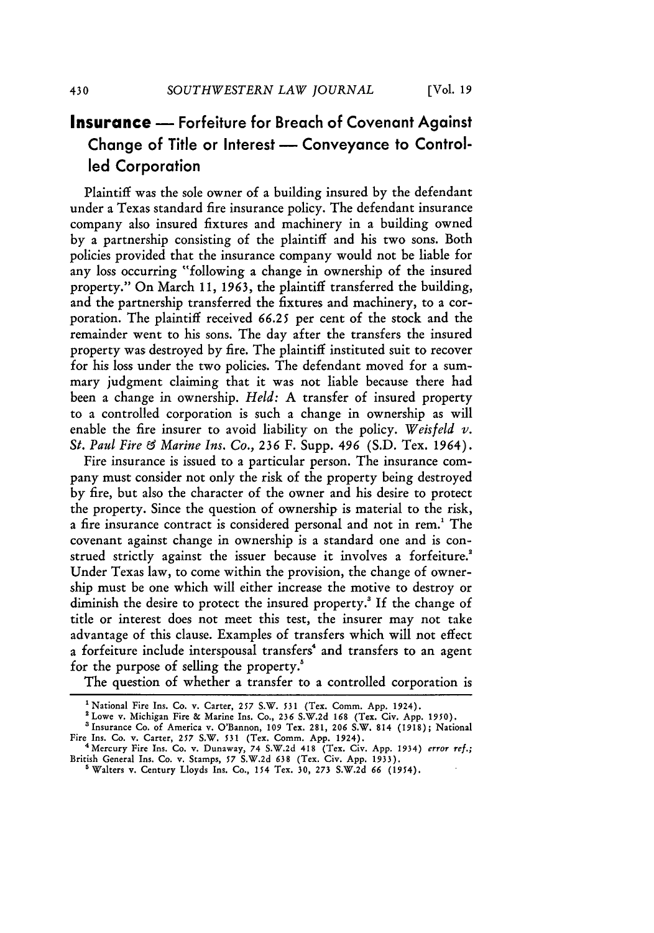# **Insurance --** Forfeiture for Breach of Covenant Against Change of Title or Interest - Conveyance to Controlled Corporation

Plaintiff was the sole owner of a building insured by the defendant under a Texas standard fire insurance policy. The defendant insurance company also insured fixtures and machinery in a building owned by a partnership consisting of the plaintiff and his two sons. Both policies provided that the insurance company would not be liable for any loss occurring "following a change in ownership of the insured property." On March 11, **1963,** the plaintiff transferred the building, and the partnership transferred the fixtures and machinery, to a corporation. The plaintiff received **66.25** per cent of the stock and the remainder went to his sons. The day after the transfers the insured property was destroyed by fire. The plaintiff instituted suit to recover for his loss under the two policies. The defendant moved for a summary judgment claiming that it was not liable because there had been a change in ownership. *Held:* A transfer of insured property to a controlled corporation is such a change in ownership as will enable the fire insurer to avoid liability on the policy. *Weisfeld v. St. Paul Fire & Marine Ins. Co.,* **236** F. Supp. **496** (S.D. Tex. 1964).

Fire insurance is issued to a particular person. The insurance company must consider not only the risk of the property being destroyed by fire, but also the character of the owner and his desire to protect the property. Since the question of ownership is material to the risk, a fire insurance contract is considered personal and not in rem.' The covenant against change in ownership is a standard one and is construed strictly against the issuer because it involves a forfeiture.' Under Texas law, to come within the provision, the change of ownership must be one which will either increase the motive to destroy or diminish the desire to protect the insured property.' If the change of title or interest does not meet this test, the insurer may not take advantage of this clause. Examples of transfers which will not effect a forfeiture include interspousal transfers' and transfers to an agent for the purpose of selling the property.

The question of whether a transfer to a controlled corporation is

<sup>&</sup>lt;sup>1</sup> National Fire Ins. Co. v. Carter, 257 S.W. 531 (Tex. Comm. App. 1924).

<sup>&#</sup>x27;Lowe v. Michigan Fire **&** Marine Ins. Co., 236 S.W.2d 168 (Tex. Civ. App. *1950).* 'Insurance Co. of America v. O'Bannon, **109** Tex. 281, 206 S.W. 814 **(1918);** National

Fire Ins. Co. v. Carter, *257* S.W. **531** (Tex. Comm. App. 1924). <sup>4</sup> Mercury Fire Ins. Co. v. Dunaway, 74 S.W.2d 418 (Tex. Civ. App. 1934) error ref.; British General Ins. Co. v. Stamps, **57** S.W.2d **638** (Tex. Civ. App. 1933).

a Walters v. Century Lloyds Ins. Co., 154 Tex. 30, **273** S.W.2d **66** *(1954).*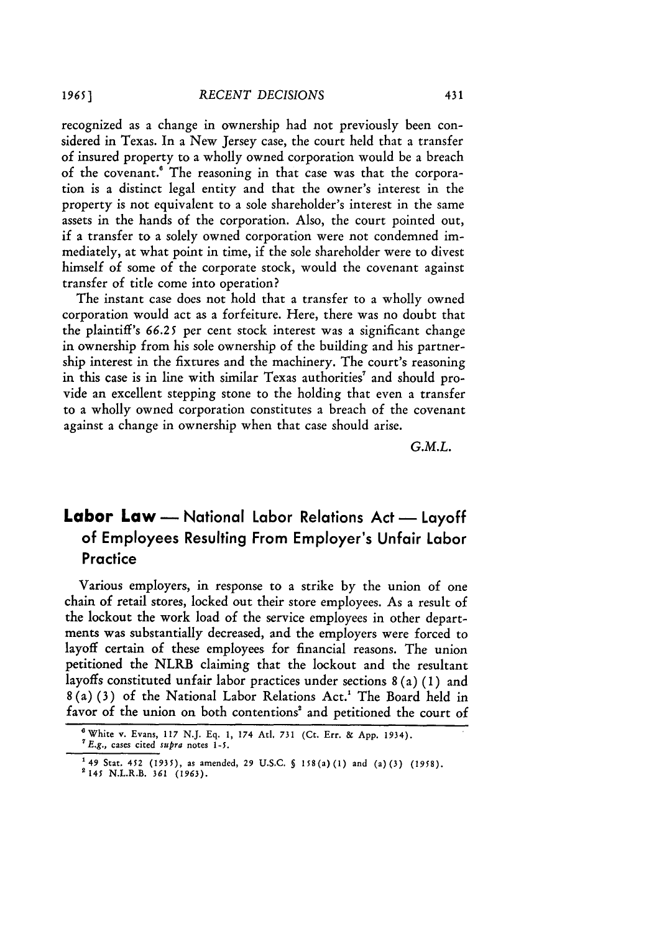recognized as a change in ownership had not previously been considered in Texas. In a New Jersey case, the court held that a transfer of insured property to a wholly owned corporation would be a breach of the covenant.<sup>6</sup> The reasoning in that case was that the corporation is a distinct legal entity and that the owner's interest in the property is not equivalent to a sole shareholder's interest in the same assets in the hands of the corporation. Also, the court pointed out, if a transfer to a solely owned corporation were not condemned immediately, at what point in time, if the sole shareholder were to divest himself of some of the corporate stock, would the covenant against transfer of title come into operation?

The instant case does not hold that a transfer to a wholly owned corporation would act as a forfeiture. Here, there was no doubt that the plaintiff's **66.25** per cent stock interest was a significant change in ownership from his sole ownership of the building and his partnership interest in the fixtures and the machinery. The court's reasoning in this case is in line with similar Texas authorities' and should provide an excellent stepping stone to the holding that even a transfer to a wholly owned corporation constitutes a breach of the covenant against a change in ownership when that case should arise.

*G.M.L.*

# **Labor Law -** National Labor Relations Act **-** Layoff of Employees Resulting From Employer's Unfair Labor **Practice**

Various employers, in response to a strike by the union of one chain of retail stores, locked out their store employees. As a result of the lockout the work load of the service employees in other departments was substantially decreased, and the employers were forced to layoff certain of these employees for financial reasons. The union petitioned the NLRB claiming that the lockout and the resultant layoffs constituted unfair labor practices under sections 8 (a) (1 ) and **8** (a) (3) of the National Labor Relations Act.' The Board held in favor of the union on both contentions' and petitioned the court of

<sup>3</sup>White v. Evans, **117** N.J. Eq. **1, 174** AtI. **731** (Ct. Err. **& App. 1934).** *7* E.g., **cases** cited supra notes **1-5.**

**<sup>149</sup> Stat. 452 (1935), as** amended, **29 U.S.C. § 158(a) (1)** and (a)(3) *(1958).* **2 145** N.L.R.B. **361 (1963).**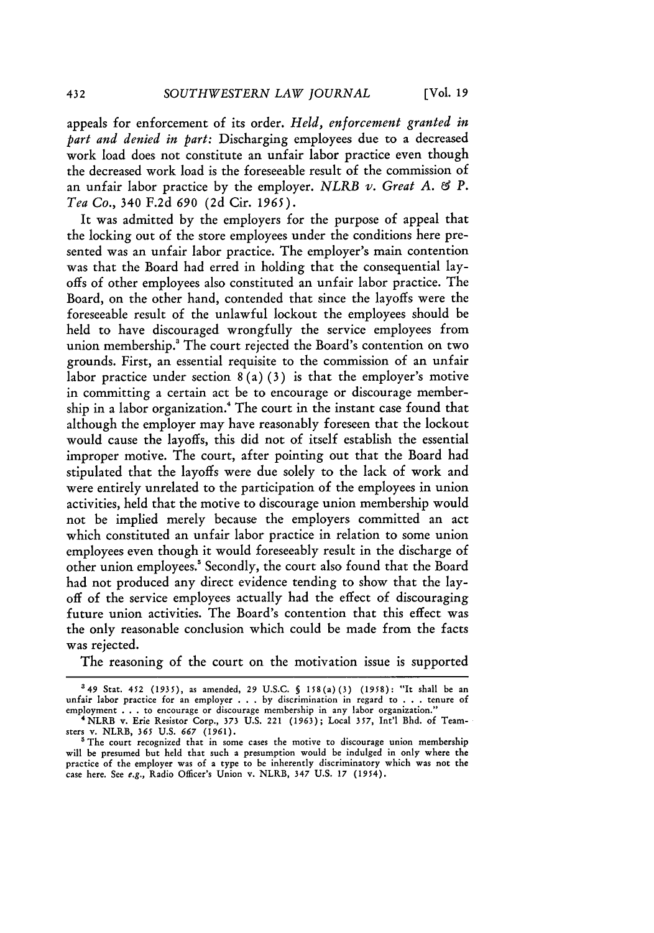**[Vol. 19**

appeals for enforcement of its order. *Held, enforcement granted in part and denied in part:* Discharging employees due to a decreased work load does not constitute an unfair labor practice even though the decreased work load is the foreseeable result of the commission of an unfair labor practice by the employer. *NLRB v. Great A. &¢ P. Tea Co.,* 340 F.2d *690* (2d Cir. 1965).

It was admitted by the employers for the purpose of appeal that the locking out of the store employees under the conditions here presented was an unfair labor practice. The employer's main contention was that the Board had erred in holding that the consequential layoffs of other employees also constituted an unfair labor practice. The Board, on the other hand, contended that since the layoffs were the foreseeable result of the unlawful lockout the employees should be held to have discouraged wrongfully the service employees from union membership.' The court rejected the Board's contention on two grounds. First, an essential requisite to the commission of an unfair labor practice under section  $8(a)(3)$  is that the employer's motive in committing a certain act be to encourage or discourage membership in a labor organization.<sup>4</sup> The court in the instant case found that although the employer may have reasonably foreseen that the lockout would cause the layoffs, this did not of itself establish the essential improper motive. The court, after pointing out that the Board had stipulated that the layoffs were due solely to the lack of work and were entirely unrelated to the participation of the employees in union activities, held that the motive to discourage union membership would not be implied merely because the employers committed an act which constituted an unfair labor practice in relation to some union employees even though it would foreseeably result in the discharge of other union employees.' Secondly, the court also found that the Board had not produced any direct evidence tending to show that the layoff of the service employees actually had the effect of discouraging future union activities. The Board's contention that this effect was the only reasonable conclusion which could be made from the facts was rejected.

The reasoning of the court on the motivation issue is supported

<sup>549</sup> Stat. 452 (1935), as amended, 29 U.S.C. 5 158(a) (3) (1958): "It shall be an unfair labor practice for an employer . . . by discrimination in regard to . . . tenure of employment . . . to encourage or discourage membership in any labor organization."<br>
\* NLRB v. Erie Resistor Corp., 373 U.S. 221 (1963); Local 357, Int'l Bhd. of Team-

sters v. NLRB, **365** U.S. **667** (1961).

<sup>&</sup>lt;sup>5</sup> The court recognized that in some cases the motive to discourage union membership will be presumed but held that such a presumption would be indulged in only where the practice of the employer was of a type to be inherently discriminatory which was not the case here. See e.g., Radio Officer's Union v. NLRB, 347 U.S. 17 (1954).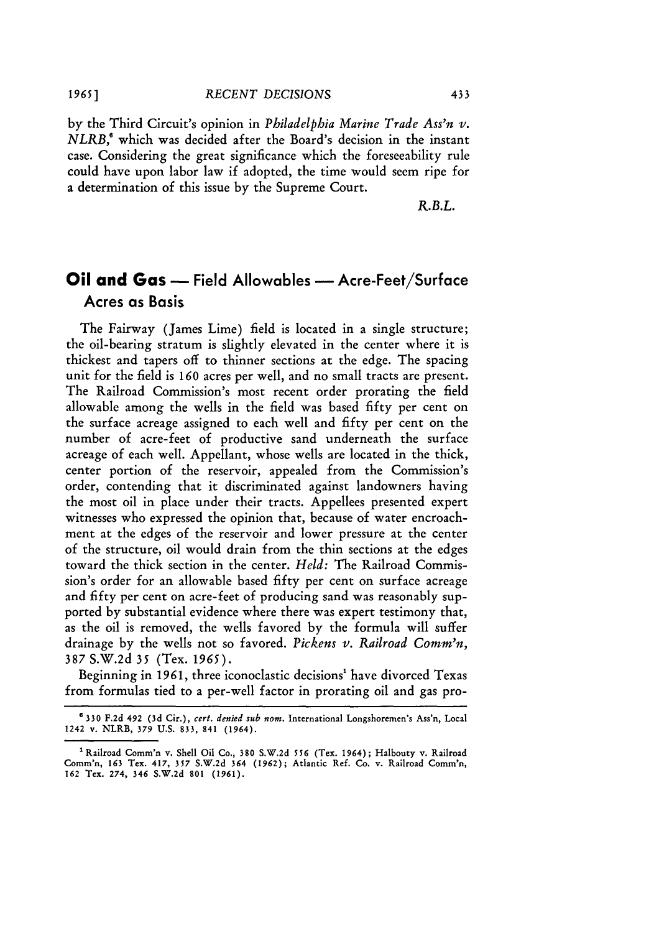by the Third Circuit's opinion in *Philadelphia Marine Trade Ass'n v. NLRB,'* which was decided after the Board's decision in the instant case. Considering the great significance which the foreseeability rule could have upon labor law if adopted, the time would seem ripe for a determination of this issue by the Supreme Court.

*R.B.L.*

# **Oil and Gas -** Field Allowables **-** Acre-Feet/Surface Acres as Basis

The Fairway (James Lime) field is located in a single structure; the oil-bearing stratum is slightly elevated in the center where it is thickest and tapers off to thinner sections at the edge. The spacing unit for the field is 160 acres per well, and no small tracts are present. The Railroad Commission's most recent order prorating the field allowable among the wells in the field was based fifty per cent on the surface acreage assigned to each well and fifty per cent on the number of acre-feet of productive sand underneath the surface acreage of each well. Appellant, whose wells are located in the thick, center portion of the reservoir, appealed from the Commission's order, contending that it discriminated against landowners having the most oil in place under their tracts. Appellees presented expert witnesses who expressed the opinion that, because of water encroachment at the edges of the reservoir and lower pressure at the center **of** the structure, oil would drain from the thin sections at the edges toward the thick section in the center. *Held:* The Railroad Commission's order for an allowable based fifty per cent on surface acreage and fifty per cent on acre-feet of producing sand was reasonably supported by substantial evidence where there was expert testimony that, as the oil is removed, the wells favored by the formula will suffer drainage by the wells not so favored. *Pickens v. Railroad Comm'n,* 387 S.W.2d 35 (Tex. 1965).

Beginning in 1961, three iconoclastic decisions<sup>1</sup> have divorced Texas from formulas tied to a per-well factor in prorating oil and gas pro-

**<sup>6 330</sup> F.2d** 492 **(3d** Cir.), *cert. denied sub nom.* International Longshoremen's Ass'n, Local 1242 v. NLRB, *379* **U.S. 833,** 841 (1964).

<sup>&#</sup>x27;Railroad Comm'n v. Shell Oil Co., **380 S.W.2d 556** (Tex. 1964); Halbouty v. **Railroad** Comm'n, **163** Tex. 417, *357* **S.W.2d** 364 **(1962);** Atlantic Ref. Co. v. Railroad **Comm'n, 162** Tex. 274, **346 S.W.2d 801 (1961).**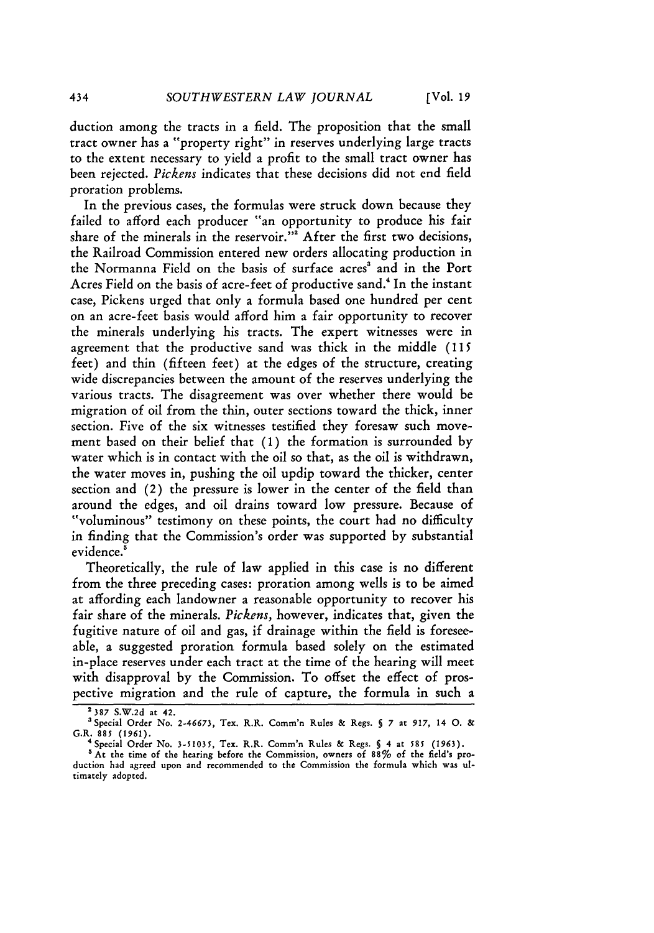duction among the tracts in a field. The proposition that the small tract owner has a "property right" in reserves underlying large tracts to the extent necessary to yield a profit to the small tract owner has been rejected. *Pickens* indicates that these decisions did not end field proration problems.

In the previous cases, the formulas were struck down because they failed to afford each producer "an opportunity to produce his fair share of the minerals in the reservoir."<sup>2</sup> After the first two decisions, the Railroad Commission entered new orders allocating production in the Normanna Field on the basis of surface acres' and in the Port Acres Field on the basis of acre-feet of productive sand.<sup>4</sup> In the instant case, Pickens urged that only a formula based one hundred per cent on an acre-feet basis would afford him a fair opportunity to recover the minerals underlying his tracts. The expert witnesses were in agreement that the productive sand was thick in the middle **(115** feet) and thin (fifteen feet) at the edges of the structure, creating wide discrepancies between the amount of the reserves underlying the various tracts. The disagreement was over whether there would be migration of oil from the thin, outer sections toward the thick, inner section. Five of the six witnesses testified they foresaw such movement based on their belief that **(1)** the formation is surrounded by water which is in contact with the oil **so** that, as the oil is withdrawn, the water moves in, pushing the oil updip toward the thicker, center section and (2) the pressure is lower in the center of the field than around the edges, and oil drains toward low pressure. Because of "voluminous" testimony on these points, the court had no difficulty in finding that the Commission's order was supported by substantial evidence.

Theoretically, the rule of law applied in this case is no different from the three preceding cases: proration among wells is to be aimed at affording each landowner a reasonable opportunity to recover his fair share of the minerals. *Pickens,* however, indicates that, given the fugitive nature of oil and gas, if drainage within the field is foreseeable, a suggested proration formula based solely on the estimated in-place reserves under each tract at the time of the hearing will meet with disapproval by the Commission. To offset the effect of prospective migration and the rule of capture, the formula in such a

**<sup>2387</sup> S.W.2d** at 42.

<sup>&#</sup>x27;Special Order No. **2-46673,** Tex. R.R. Comm'n Rules **&** Regs. **7** at **917, 14 0. &** G.R. 885 **(1961).**

<sup>&</sup>quot;Special Order No. **3-51035,** Tex. R.R. Comm'n Rules **&** Regs. *5* **4** at *585* **(1963).**

<sup>&</sup>lt;sup>5</sup> At the time of the hearing before the Commission, owners of 88% of the field's production had agreed upon and recommended to the Commission the formula which was ultimately adopted.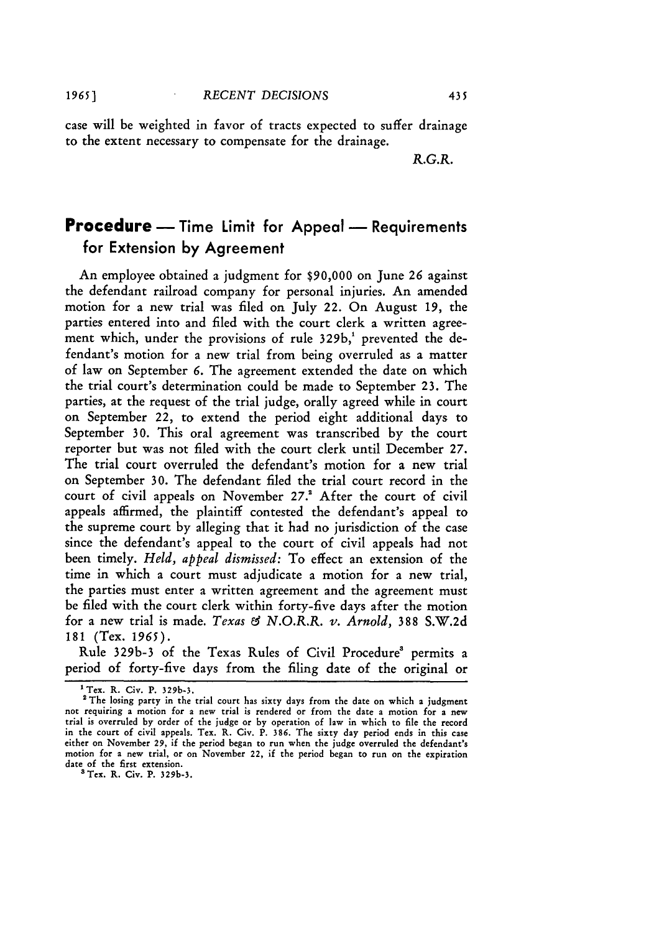case will be weighted in favor of tracts expected to suffer drainage to the extent necessary to compensate for the drainage.

*R.G.R.*

# **Procedure** -- Time Limit for Appeal -- Requirements for Extension **by** Agreement

An employee obtained a judgment for \$90,000 on June 26 against the defendant railroad company for personal injuries. An amended motion for a new trial was filed on July 22. On August **19,** the parties entered into and filed with the court clerk a written agreement which, under the provisions of rule 329b,' prevented the defendant's motion for a new trial from being overruled as a matter of law on September 6. The agreement extended the date on which the trial court's determination could be made to September 23. The parties, at the request of the trial judge, orally agreed while in court on September 22, to extend the period eight additional days to September **30.** This oral agreement was transcribed by the court reporter but was not filed with the court clerk until December 27. The trial court overruled the defendant's motion for a new trial on September 30. The defendant filed the trial court record in the court of civil appeals on November 27.<sup>2</sup> After the court of civil appeals affirmed, the plaintiff contested the defendant's appeal to the supreme court by alleging that it had no jurisdiction of the case since the defendant's appeal to the court of civil appeals had not been timely. *Held, appeal dismissed:* To effect an extension of the time in which a court must adjudicate a motion for a new trial, the parties must enter a written agreement and the agreement must be filed with the court clerk within forty-five days after the motion for a new trial is made. *Texas & N.O.R.R. v. Arnold,* 388 S.W.2d 181 (Tex. **1965).**

Rule 329b-3 of the Texas Rules of Civil Procedure' permits a period of forty-five days from the filing date of the original or

**<sup>1</sup>** Tex. R. Civ. P. **329b-3.**

<sup>&</sup>lt;sup>2</sup> The losing party in the trial court has sixty days from the date on which a judgment not requiring a motion for a new trial is rendered or from the date a motion for a new trial is overruled by order of the judge or by operation of law in which to file the record in the court of civil appeals. Tex. R. Civ. P. 386. The sixty day period ends in this case either on November **29,** if the period began to run when the judge overruled the defendant's motion for a new trial, or on November 22, if the period began to run on the expiration date of the first extension.<br><sup>3</sup> Tex. R. Civ. P. 329b-3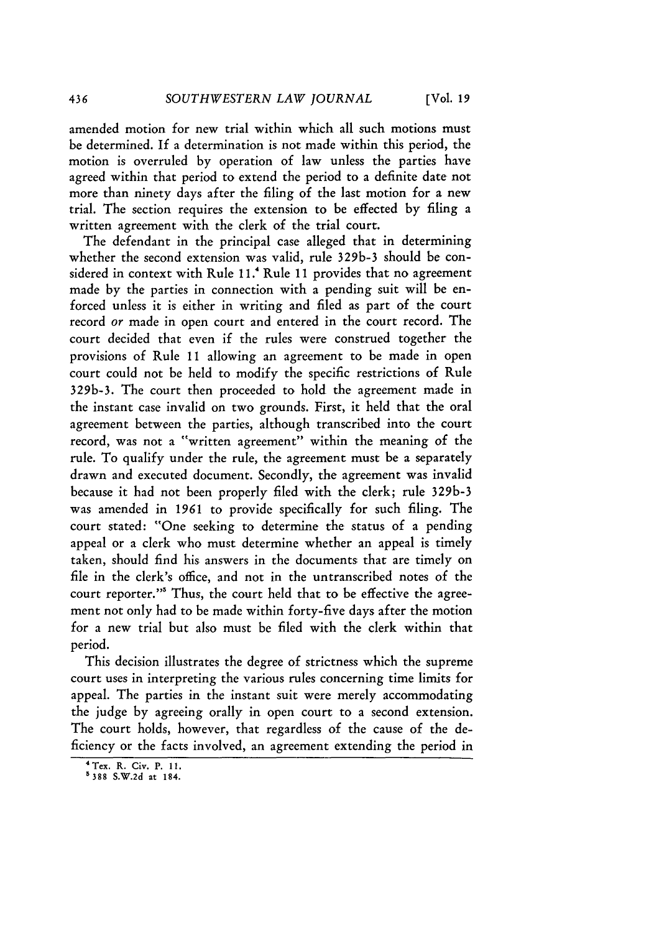**[Vol.** *19*

amended motion for new trial within which all such motions must be determined. If a determination is not made within this period, the motion is overruled by operation of law unless the parties have agreed within that period to extend the period to a definite date not more than ninety days after the filing of the last motion for a new trial. The section requires the extension to be effected by filing a written agreement with the clerk of the trial court.

The defendant in the principal case alleged that in determining whether the second extension was valid, rule 329b-3 should be considered in context with Rule **II."** Rule **11** provides that no agreement made by the parties in connection with a pending suit will be enforced unless it is either in writing and filed as part of the court record or made in open court and entered in the court record. The court decided that even if the rules were construed together the provisions of Rule **11** allowing an agreement to be made in open court could not be held to modify the specific restrictions of Rule 329b-3. The court then proceeded to hold the agreement made in the instant case invalid on two grounds. First, it held that the oral agreement between the parties, although transcribed into the court record, was not a "written agreement" within the meaning of the rule. To qualify under the rule, the agreement must be a separately drawn and executed document. Secondly, the agreement was invalid because it had not been properly filed with the clerk; rule 329b-3 was amended in *1961* to provide specifically for such filing. The court stated: "One seeking to determine the status of a pending appeal or a clerk who must determine whether an appeal is timely taken, should find his answers in the documents that are timely on file in the clerk's office, and not in the untranscribed notes of the court reporter."' Thus, the court held that to be effective the agreement not only had to be made within forty-five days after the motion for a new trial but also must be filed with the clerk within that period.

This decision illustrates the degree of strictness which the supreme court uses in interpreting the various rules concerning time limits for appeal. The parties in the instant suit were merely accommodating the judge by agreeing orally in open court to a second extension. The court holds, however, that regardless of the cause of the deficiency or the facts involved, an agreement extending the period in

**<sup>4</sup>** Tex. R. Civ. P. **11.**

**<sup>5</sup> 388 S.W.2d at 184.**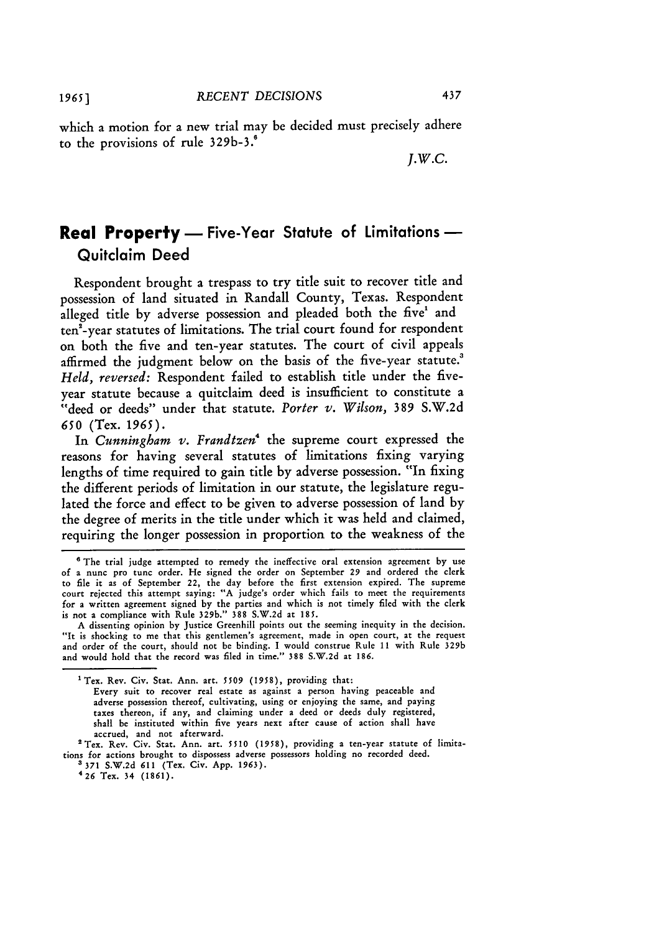which a motion for a new trial may be decided must precisely adhere to the provisions of rule 329b-3.<sup>6</sup>

*J.w.c.*

437

# **Real Property** - Five-Year Statute of Limitations -Quitclaim Deed

Respondent brought a trespass to try title suit to recover title and possession of land situated in Randall County, Texas. Respondent alleged title **by** adverse possession and pleaded both the five' and ten<sup>2</sup>-year statutes of limitations. The trial court found for respondent on both the five and ten-year statutes. The court of civil appeals affirmed the judgment below on the basis of the five-year statute.<sup>3</sup> *Held, reversed:* Respondent failed to establish title under the fiveyear statute because a quitclaim deed is insufficient to constitute a "deed or deeds" under that statute. *Porter v. Wilson,* **389 S.W.2d 650** (Tex. 1965).

In *Cunningham v. Frandtzen'* the supreme court expressed the reasons for having several statutes of limitations fixing varying lengths of time required to gain title **by** adverse possession. "In fixing the different periods of limitation in our statute, the legislature regulated the force and effect to be given to adverse possession of land **by** the degree of merits in the title under which it was held and claimed, requiring the longer possession in proportion to the weakness of the

Every suit to recover real estate as against a person having peaceable and adverse possession thereof, cultivating, using or enjoying the same, and paying taxes thereon, if any, and claiming under a deed or deeds duly registered, shall be instituted within five years next after cause of action shall have accrued, and not afterward.

<sup>3</sup> 371 S.W.2d 611 (Tex. Civ. App. 1963).<br><sup>4</sup> 26 Tex. 34 (1861).

**<sup>&</sup>quot;** The trial judge attempted to remedy the ineffective oral extension agreement by use of a nunc pro tunc order. He signed the order on September 29 and ordered the clerk to file it as of September 22, the day before the first extension expired. The supreme court rejected this attempt saying: "A judge's order which fails to meet the requirements for a written agreement signed by the parties and which is not timely filed with the clerk is not a compliance with Rule 329b." **388** S.W.2d at 185.

A dissenting opinion by Justice Greenhill points out the seeming inequity in the decision. "It is shocking to me that this gentlemen's agreement, made in open court, at the request and order of the court, should not be binding. I would construe Rule **11** with Rule 329b and would hold that the record was filed in time." **388** S.W.2d at 186.

Tex. Rev. Civ. Stat. Ann. art. *5509 (1958),* providing that:

<sup>&#</sup>x27;Tex. Rev. Civ. Stat. Ann. art. **5510 (1958),** providing a ten-year statute of limitations for actions brought to dispossess adverse possessors holding no recorded deed.